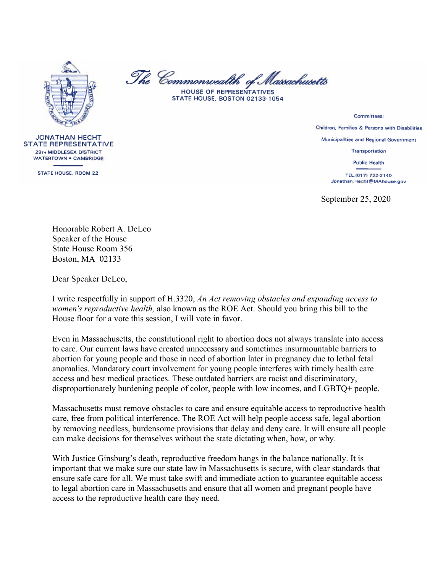

**JONATHAN HECHT** 

**STATE REPRESENTATIVE** 

**29th MIDDLESEX DISTRICT WATERTOWN . CAMBRIDGE** 

**STATE HOUSE, ROOM 22** 

The Commonwealth of Massachusetts

**HOUSE OF REPRESENTATIVES** STATE HOUSE, BOSTON 02133-1054

> Committees: Children, Families & Persons with Disabilities Municipalities and Regional Government Transportation

> > **Public Health**

TEL.(617) 722-2140 Jonathan.Hecht@MAhouse.gov

September 25, 2020

Honorable Robert A. DeLeo Speaker of the House State House Room 356 Boston, MA 02133

Dear Speaker DeLeo,

I write respectfully in support of H.3320, *An Act removing obstacles and expanding access to women's reproductive health,* also known as the ROE Act. Should you bring this bill to the House floor for a vote this session, I will vote in favor.

Even in Massachusetts, the constitutional right to abortion does not always translate into access to care. Our current laws have created unnecessary and sometimes insurmountable barriers to abortion for young people and those in need of abortion later in pregnancy due to lethal fetal anomalies. Mandatory court involvement for young people interferes with timely health care access and best medical practices. These outdated barriers are racist and discriminatory, disproportionately burdening people of color, people with low incomes, and LGBTQ+ people.

Massachusetts must remove obstacles to care and ensure equitable access to reproductive health care, free from political interference. The ROE Act will help people access safe, legal abortion by removing needless, burdensome provisions that delay and deny care. It will ensure all people can make decisions for themselves without the state dictating when, how, or why.

With Justice Ginsburg's death, reproductive freedom hangs in the balance nationally. It is important that we make sure our state law in Massachusetts is secure, with clear standards that ensure safe care for all. We must take swift and immediate action to guarantee equitable access to legal abortion care in Massachusetts and ensure that all women and pregnant people have access to the reproductive health care they need.